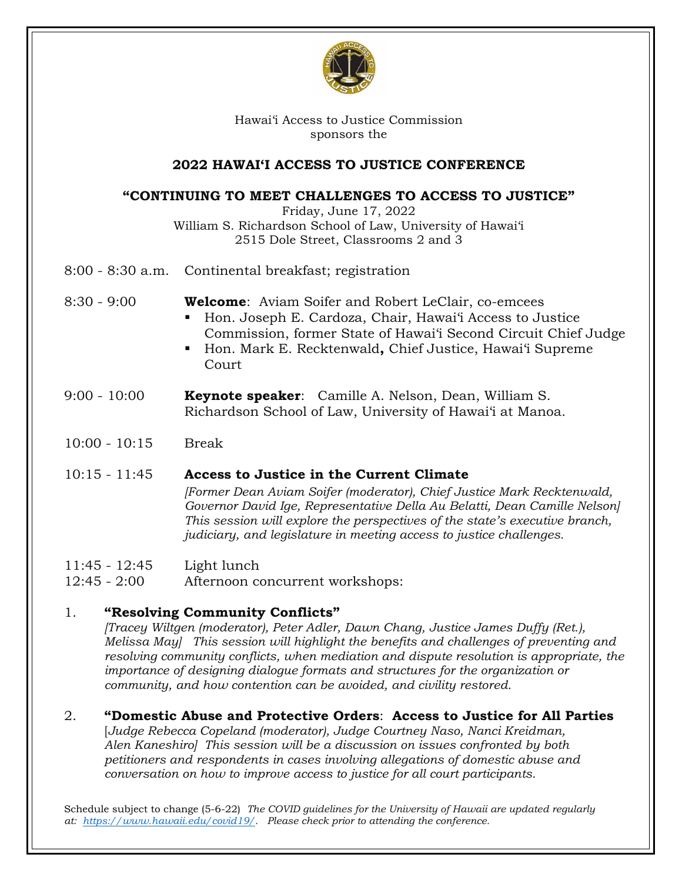

Hawai'i Access to Justice Commission sponsors the

### **2022 HAWAI'I ACCESS TO JUSTICE CONFERENCE**

# **"CONTINUING TO MEET CHALLENGES TO ACCESS TO JUSTICE"**

Friday, June 17, 2022

William S. Richardson School of Law, University of Hawai'i 2515 Dole Street, Classrooms 2 and 3

8:00 - 8:30 a.m. Continental breakfast; registration

8:30 - 9:00 **Welcome**: Aviam Soifer and Robert LeClair, co-emcees

- Hon. Joseph E. Cardoza, Chair, Hawai'i Access to Justice Commission, former State of Hawai'i Second Circuit Chief Judge
- Hon. Mark E. Recktenwald**,** Chief Justice, Hawai'i Supreme Court
- 9:00 10:00 **Keynote speaker**: Camille A. Nelson, Dean, William S. Richardson School of Law, University of Hawai'i at Manoa.
- 10:00 10:15 Break

## 10:15 - 11:45 **Access to Justice in the Current Climate**

*[Former Dean Aviam Soifer (moderator), Chief Justice Mark Recktenwald, Governor David Ige, Representative Della Au Belatti, Dean Camille Nelson] This session will explore the perspectives of the state's executive branch, judiciary, and legislature in meeting access to justice challenges.* 

11:45 - 12:45 Light lunch

12:45 - 2:00 Afternoon concurrent workshops:

## 1. **"Resolving Community Conflicts"**

*[Tracey Wiltgen (moderator), Peter Adler, Dawn Chang, Justice James Duffy (Ret.), Melissa May] This session will highlight the benefits and challenges of preventing and resolving community conflicts, when mediation and dispute resolution is appropriate, the importance of designing dialogue formats and structures for the organization or community, and how contention can be avoided, and civility restored.*

2. **"Domestic Abuse and Protective Orders**: **Access to Justice for All Parties**

[*Judge Rebecca Copeland (moderator), Judge Courtney Naso, Nanci Kreidman, Alen Kaneshiro] This session will be a discussion on issues confronted by both petitioners and respondents in cases involving allegations of domestic abuse and conversation on how to improve access to justice for all court participants.*

Schedule subject to change (5-6-22) *The COVID guidelines for the University of Hawaii are updated regularly at: https://www.hawaii.edu/covid19/. Please check prior to attending the conference.*